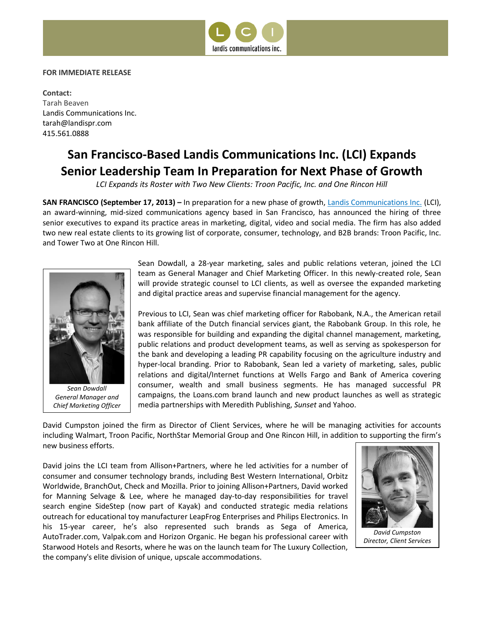

## **FOR IMMEDIATE RELEASE**

**Contact:**  Tarah Beaven Landis Communications Inc. tarah@landispr.com 415.561.0888

## **San Francisco-Based Landis Communications Inc. (LCI) Expands Senior Leadership Team In Preparation for Next Phase of Growth**

*LCI Expands its Roster with Two New Clients: Troon Pacific, Inc. and One Rincon Hill*

**SAN FRANCISCO (September 17, 2013) –** In preparation for a new phase of growth, [Landis Communications Inc.](http://www.landispr.com/) (LCI), an award-winning, mid-sized communications agency based in San Francisco, has announced the hiring of three senior executives to expand its practice areas in marketing, digital, video and social media. The firm has also added two new real estate clients to its growing list of corporate, consumer, technology, and B2B brands: Troon Pacific, Inc. and Tower Two at One Rincon Hill.



*Sean Dowdall General Manager and Chief Marketing Officer*

Sean Dowdall, a 28-year marketing, sales and public relations veteran, joined the LCI team as General Manager and Chief Marketing Officer. In this newly-created role, Sean will provide strategic counsel to LCI clients, as well as oversee the expanded marketing and digital practice areas and supervise financial management for the agency.

Previous to LCI, Sean was chief marketing officer for Rabobank, N.A., the American retail bank affiliate of the Dutch financial services giant, the Rabobank Group. In this role, he was responsible for building and expanding the digital channel management, marketing, public relations and product development teams, as well as serving as spokesperson for the bank and developing a leading PR capability focusing on the agriculture industry and hyper-local branding. Prior to Rabobank, Sean led a variety of marketing, sales, public relations and digital/Internet functions at Wells Fargo and Bank of America covering consumer, wealth and small business segments. He has managed successful PR campaigns, the Loans.com brand launch and new product launches as well as strategic media partnerships with Meredith Publishing, *Sunset* and Yahoo.

David Cumpston joined the firm as Director of Client Services, where he will be managing activities for accounts including Walmart, Troon Pacific, NorthStar Memorial Group and One Rincon Hill, in addition to supporting the firm's new business efforts.

David joins the LCI team from Allison+Partners, where he led activities for a number of consumer and consumer technology brands, including Best Western International, Orbitz Worldwide, BranchOut, Check and Mozilla. Prior to joining Allison+Partners, David worked for Manning Selvage & Lee, where he managed day-to-day responsibilities for travel search engine SideStep (now part of Kayak) and conducted strategic media relations outreach for educational toy manufacturer LeapFrog Enterprises and Philips Electronics. In his 15-year career, he's also represented such brands as Sega of America, AutoTrader.com, Valpak.com and Horizon Organic. He began his professional career with Starwood Hotels and Resorts, where he was on the launch team for The Luxury Collection, the company's elite division of unique, upscale accommodations.